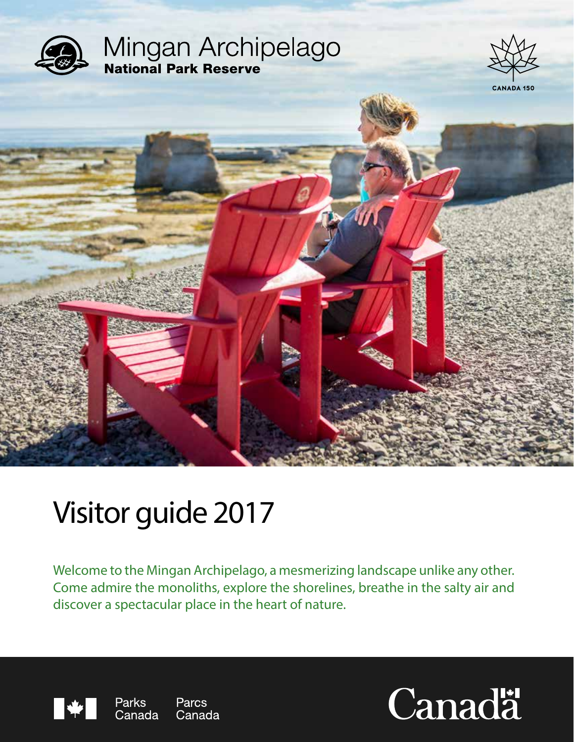

# Visitor guide 2017

Welcome to the Mingan Archipelago, a mesmerizing landscape unlike any other. Come admire the monoliths, explore the shorelines, breathe in the salty air and discover a spectacular place in the heart of nature.



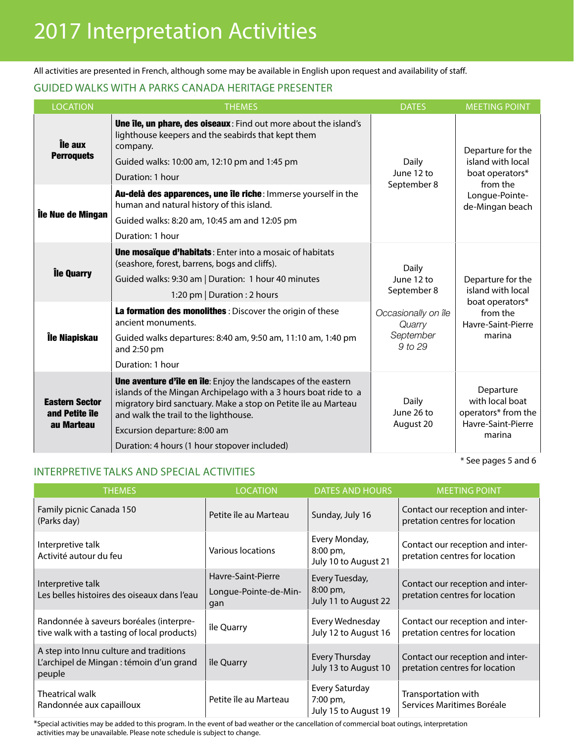## 2017 Interpretation Activities

All activities are presented in French, although some may be available in English upon request and availability of staff.

#### guided walks with a parks canada heritage presenter

| <b>LOCATION</b>                                       | <b>THEMES</b>                                                                                                                                                                                                                                                                                                                       | <b>DATES</b>                                              | <b>MEETING POINT</b>                                                                                       |
|-------------------------------------------------------|-------------------------------------------------------------------------------------------------------------------------------------------------------------------------------------------------------------------------------------------------------------------------------------------------------------------------------------|-----------------------------------------------------------|------------------------------------------------------------------------------------------------------------|
| Île aux<br><b>Perroquets</b>                          | <b>Une île, un phare, des oiseaux:</b> Find out more about the island's<br>lighthouse keepers and the seabirds that kept them<br>company.<br>Guided walks: 10:00 am, 12:10 pm and 1:45 pm<br>Duration: 1 hour                                                                                                                       | Daily<br>June 12 to                                       | Departure for the<br>island with local<br>boat operators*<br>from the<br>Longue-Pointe-<br>de-Mingan beach |
| Île Nue de Mingan                                     | Au-delà des apparences, une île riche: Immerse yourself in the<br>human and natural history of this island.<br>Guided walks: 8:20 am, 10:45 am and 12:05 pm<br>Duration: 1 hour                                                                                                                                                     | September 8                                               |                                                                                                            |
| lle Quarry                                            | <b>Une mosaïque d'habitats:</b> Enter into a mosaic of habitats<br>(seashore, forest, barrens, bogs and cliffs).<br>Guided walks: 9:30 am   Duration: 1 hour 40 minutes<br>1:20 pm   Duration : 2 hours                                                                                                                             | Daily<br>June 12 to<br>September 8                        | Departure for the<br>island with local<br>boat operators*<br>from the<br>Havre-Saint-Pierre<br>marina      |
| Île Niapiskau                                         | La formation des monolithes : Discover the origin of these<br>ancient monuments.<br>Guided walks departures: 8:40 am, 9:50 am, 11:10 am, 1:40 pm<br>and 2:50 pm<br>Duration: 1 hour                                                                                                                                                 | Occasionally on île<br>Quarry<br>September<br>$9$ to $29$ |                                                                                                            |
| <b>Eastern Sector</b><br>and Petite île<br>au Marteau | <b>Une aventure d'île en île:</b> Enjoy the landscapes of the eastern<br>islands of the Mingan Archipelago with a 3 hours boat ride to a<br>migratory bird sanctuary. Make a stop on Petite île au Marteau<br>and walk the trail to the lighthouse.<br>Excursion departure: 8:00 am<br>Duration: 4 hours (1 hour stopover included) | Daily<br>June 26 to<br>August 20                          | Departure<br>with local boat<br>operators* from the<br>Havre-Saint-Pierre<br>marina                        |

\* See pages 5 and 6

### INTERPRETIVE TALKS AND SPECIAL ACTIVITIES

| <b>THEMES</b>                                                                                 | <b>LOCATION</b>                                    | <b>DATES AND HOURS</b>                             | <b>MEETING POINT</b>                                               |
|-----------------------------------------------------------------------------------------------|----------------------------------------------------|----------------------------------------------------|--------------------------------------------------------------------|
| Family picnic Canada 150<br>(Parks day)                                                       | Petite île au Marteau                              | Sunday, July 16                                    | Contact our reception and inter-<br>pretation centres for location |
| Interpretive talk<br>Activité autour du feu                                                   | Various locations                                  | Every Monday,<br>8:00 pm,<br>July 10 to August 21  | Contact our reception and inter-<br>pretation centres for location |
| Interpretive talk<br>Les belles histoires des oiseaux dans l'eau                              | Havre-Saint-Pierre<br>Longue-Pointe-de-Min-<br>gan | Every Tuesday,<br>8:00 pm,<br>July 11 to August 22 | Contact our reception and inter-<br>pretation centres for location |
| Randonnée à saveurs boréales (interpre-<br>tive walk with a tasting of local products)        | île Quarry                                         | Every Wednesday<br>July 12 to August 16            | Contact our reception and inter-<br>pretation centres for location |
| A step into Innu culture and traditions<br>L'archipel de Mingan : témoin d'un grand<br>peuple | île Quarry                                         | <b>Every Thursday</b><br>July 13 to August 10      | Contact our reception and inter-<br>pretation centres for location |
| Theatrical walk<br>Randonnée aux capailloux                                                   | Petite île au Marteau                              | Every Saturday<br>7:00 pm,<br>July 15 to August 19 | Transportation with<br>Services Maritimes Boréale                  |

\*Special activities may be added to this program. In the event of bad weather or the cancellation of commercial boat outings, interpretation activities may be unavailable. Please note schedule is subject to change.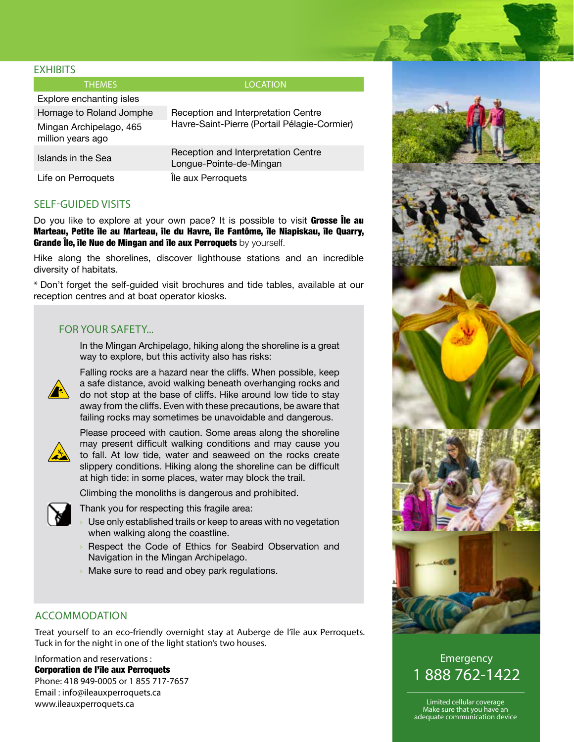#### **FXHIBITS**

THEMES **EXECUTIVE CONSUMING THEMES** 

| Explore enchanting isles                     |                                                                |  |  |
|----------------------------------------------|----------------------------------------------------------------|--|--|
| Homage to Roland Jomphe                      | Reception and Interpretation Centre                            |  |  |
| Mingan Archipelago, 465<br>million years ago | Havre-Saint-Pierre (Portail Pélagie-Cormier)                   |  |  |
| Islands in the Sea                           | Reception and Interpretation Centre<br>Longue-Pointe-de-Mingan |  |  |
| Life on Perroquets                           | Île aux Perroquets                                             |  |  |

#### SELF-GUIDED VISITS

Do you like to explore at your own pace? It is possible to visit Grosse leau Marteau, Petite île au Marteau, île du Havre, île Fantôme, île Niapiskau, île Quarry, Grande Île, île Nue de Mingan and île aux Perroquets by yourself.

Hike along the shorelines, discover lighthouse stations and an incredible diversity of habitats.

\* Don't forget the self-guided visit brochures and tide tables, available at our reception centres and at boat operator kiosks.

#### For your safety...

In the Mingan Archipelago, hiking along the shoreline is a great way to explore, but this activity also has risks:



Falling rocks are a hazard near the cliffs. When possible, keep a safe distance, avoid walking beneath overhanging rocks and do not stop at the base of cliffs. Hike around low tide to stay away from the cliffs. Even with these precautions, be aware that failing rocks may sometimes be unavoidable and dangerous.



Please proceed with caution. Some areas along the shoreline may present difficult walking conditions and may cause you to fall. At low tide, water and seaweed on the rocks create slippery conditions. Hiking along the shoreline can be difficult at high tide: in some places, water may block the trail.

Climbing the monoliths is dangerous and prohibited.



- Thank you for respecting this fragile area:
- Use only established trails or keep to areas with no vegetation when walking along the coastline.
- Respect the Code of Ethics for Seabird Observation and Navigation in the Mingan Archipelago.
- Make sure to read and obey park regulations.

#### accommodation

Treat yourself to an eco-friendly overnight stay at Auberge de l'île aux Perroquets. Tuck in for the night in one of the light station's two houses.

Information and reservations : Corporation de l'île aux Perroquets Phone: 418 949-0005 or 1 855 717-7657 Email : info@ileauxperroquets.ca www.ileauxperroquets.ca



Emergency 1 888 762-1422

Limited cellular coverage Make sure that you have an adequate communication device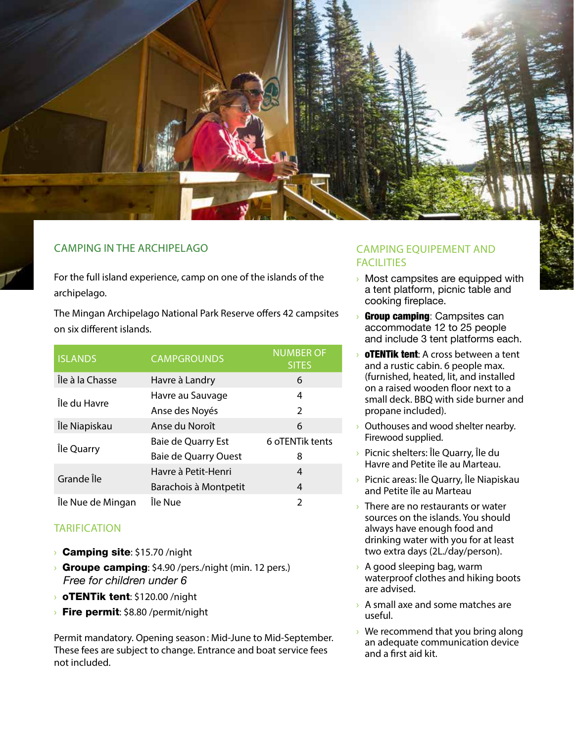

#### camping in the archipelago

For the full island experience, camp on one of the islands of the archipelago.

The Mingan Archipelago National Park Reserve offers 42 campsites on six different islands.

| <b>ISLANDS</b>    | <b>CAMPGROUNDS</b>          | <b>NUMBER OF</b><br><b>SITES</b> |  |
|-------------------|-----------------------------|----------------------------------|--|
| Île à la Chasse   | Havre à Landry              | 6                                |  |
| Île du Havre      | Havre au Sauvage            | 4                                |  |
|                   | Anse des Noyés              | 2                                |  |
| Île Niapiskau     | Anse du Noroît              | 6                                |  |
|                   | Baie de Quarry Est          | 6 oTENTik tents                  |  |
| Île Quarry        | <b>Baie de Quarry Ouest</b> | 8                                |  |
| Grande Île        | Havre à Petit-Henri         | 4                                |  |
|                   | Barachois à Montpetit       | 4                                |  |
| Île Nue de Mingan | Île Nue                     | $\mathfrak z$                    |  |

#### TARIFICATION

- **Camping site:** \$15.70 /night
- **Groupe camping:** \$4.90 /pers./night (min. 12 pers.) *Free for children under 6*
- **OTENTik tent:** \$120.00 /night
- $\rightarrow$  Fire permit: \$8.80 / permit/night

Permit mandatory. Opening season: Mid-June to Mid-September. These fees are subject to change. Entrance and boat service fees not included.

#### camping equipement and **FACILITIES**

- › Most campsites are equipped with a tent platform, picnic table and cooking fireplace.
- **Group camping: Campsites can** accommodate 12 to 25 people and include 3 tent platforms each.
- $\rightarrow$  **oTENTik tent**: A cross between a tent and a rustic cabin. 6 people max. (furnished, heated, lit, and installed on a raised wooden floor next to a small deck. BBQ with side burner and propane included).
- › Outhouses and wood shelter nearby. Firewood supplied.
- › Picnic shelters: Île Quarry, Île du Havre and Petite île au Marteau.
- › Picnic areas: Île Quarry, Île Niapiskau and Petite île au Marteau
- $\rightarrow$  There are no restaurants or water sources on the islands. You should always have enough food and drinking water with you for at least two extra days (2L./day/person).
- › A good sleeping bag, warm waterproof clothes and hiking boots are advised.
- › A small axe and some matches are useful.
- $\rightarrow$  We recommend that you bring along an adequate communication device and a first aid kit.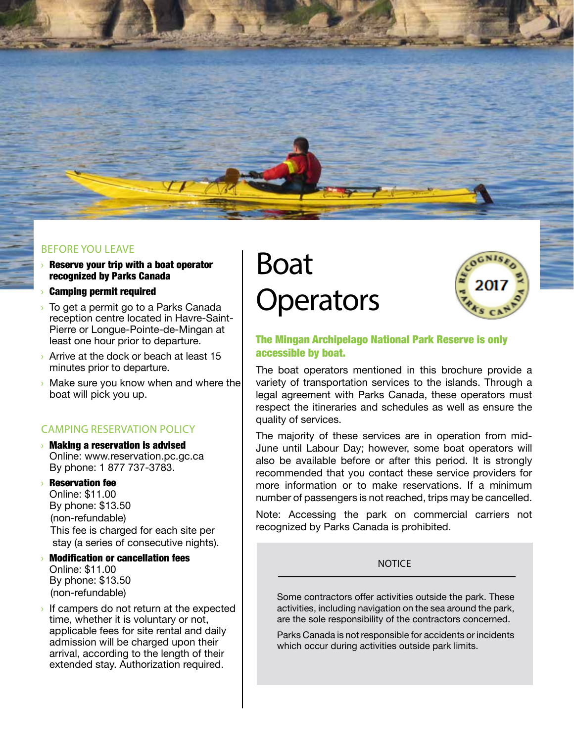

#### before you leave

- Reserve your trip with a boat operator recognized by Parks Canada
- › Camping permit required
- › To get a permit go to a Parks Canada reception centre located in Havre-Saint-Pierre or Longue-Pointe-de-Mingan at least one hour prior to departure.
- Arrive at the dock or beach at least 15 minutes prior to departure.
- › Make sure you know when and where the boat will pick you up.

#### camping reservation policy

**Making a reservation is advised** Online: www.reservation.pc.gc.ca By phone: 1 877 737-3783.

## › Reservation fee

Online: \$11.00 By phone: \$13.50 (non-refundable) This fee is charged for each site per stay (a series of consecutive nights).

- › Modification or cancellation fees Online: \$11.00 By phone: \$13.50 (non-refundable)
- If campers do not return at the expected time, whether it is voluntary or not, applicable fees for site rental and daily admission will be charged upon their arrival, according to the length of their extended stay. Authorization required.

## Boat **Operators**



#### The Mingan Archipelago National Park Reserve is only accessible by boat.

The boat operators mentioned in this brochure provide a variety of transportation services to the islands. Through a legal agreement with Parks Canada, these operators must respect the itineraries and schedules as well as ensure the quality of services.

The majority of these services are in operation from mid-June until Labour Day; however, some boat operators will also be available before or after this period. It is strongly recommended that you contact these service providers for more information or to make reservations. If a minimum number of passengers is not reached, trips may be cancelled.

Note: Accessing the park on commercial carriers not recognized by Parks Canada is prohibited.

#### **NOTICE**

Some contractors offer activities outside the park. These activities, including navigation on the sea around the park, are the sole responsibility of the contractors concerned.

Parks Canada is not responsible for accidents or incidents which occur during activities outside park limits.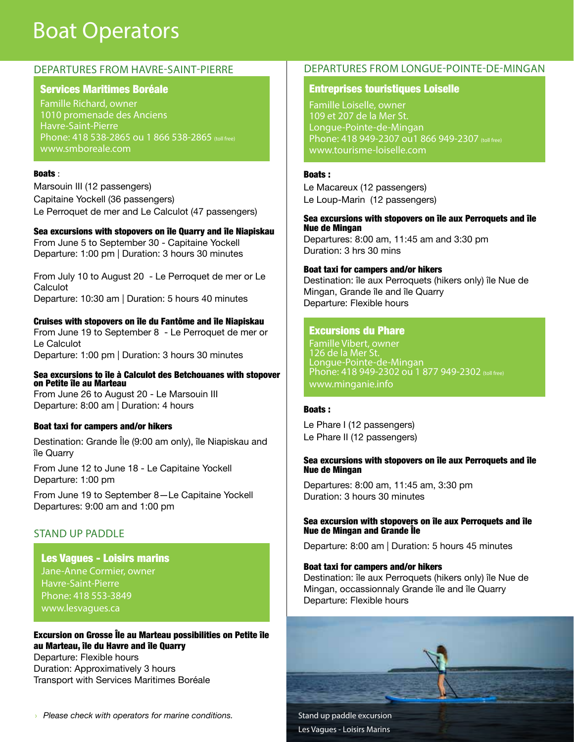## Boat Operators

#### Services Maritimes Boréale

Famille Richard, owner 1010 promenade des Anciens Havre-Saint-Pierre Phone: 418 538-2865 ou 1 866 538-2865 (toll free) www.smboreale.com

#### Boats :

Marsouin III (12 passengers) Capitaine Yockell (36 passengers) Le Perroquet de mer and Le Calculot (47 passengers)

#### Sea excursions with stopovers on île Quarry and île Niapiskau

From June 5 to September 30 - Capitaine Yockell Departure: 1:00 pm | Duration: 3 hours 30 minutes

From July 10 to August 20 - Le Perroquet de mer or Le **Calculot** Departure: 10:30 am | Duration: 5 hours 40 minutes

#### Cruises with stopovers on île du Fantôme and île Niapiskau

From June 19 to September 8 - Le Perroquet de mer or Le Calculot Departure: 1:00 pm | Duration: 3 hours 30 minutes

#### Sea excursions to île à Calculot des Betchouanes with stopover on Petite île au Marteau

From June 26 to August 20 - Le Marsouin III Departure: 8:00 am | Duration: 4 hours

#### Boat taxi for campers and/or hikers

Destination: Grande Île (9:00 am only), île Niapiskau and île Quarry

From June 12 to June 18 - Le Capitaine Yockell Departure: 1:00 pm

From June 19 to September 8—Le Capitaine Yockell Departures: 9:00 am and 1:00 pm

#### Stand UP paddle

#### Les Vagues - Loisirs marins

Jane-Anne Cormier, owner Havre-Saint-Pierre Phone: 418 553-3849 www.lesvagues.ca

Excursion on Grosse Île au Marteau possibilities on Petite île au Marteau, île du Havre and île Quarry Departure: Flexible hours Duration: Approximatively 3 hours Transport with Services Maritimes Boréale

› *Please check with operators for marine conditions.*

#### Departures from Havre-Saint-Pierre Departures from Longue-Pointe-de-Mingan

#### Entreprises touristiques Loiselle

Famille Loiselle, owner 109 et 207 de la Mer St. Longue-Pointe-de-Mingan Phone: 418 949-2307 ou1 866 949-2307 (toll free) www.tourisme-loiselle.com

#### Boats :

Le Macareux (12 passengers) Le Loup-Marin (12 passengers)

#### Sea excursions with stopovers on île aux Perroquets and île Nue de Mingan

Departures: 8:00 am, 11:45 am and 3:30 pm Duration: 3 hrs 30 mins

#### Boat taxi for campers and/or hikers

Destination: île aux Perroquets (hikers only) île Nue de Mingan, Grande île and île Quarry Departure: Flexible hours

#### Excursions du Phare

Famille Vibert, owner 126 de la Mer St. Longue-Pointe-de-Mingan Phone: 418 949-2302 ou 1 877 949-2302 (toll free) www.minganie.info

#### Boats :

Le Phare I (12 passengers) Le Phare II (12 passengers)

#### Sea excursions with stopovers on île aux Perroquets and île Nue de Mingan

Departures: 8:00 am, 11:45 am, 3:30 pm Duration: 3 hours 30 minutes

#### Sea excursion with stopovers on île aux Perroquets and île Nue de Mingan and Grande Île

Departure: 8:00 am | Duration: 5 hours 45 minutes

#### Boat taxi for campers and/or hikers

Destination: île aux Perroquets (hikers only) île Nue de Mingan, occassionnaly Grande île and île Quarry Departure: Flexible hours



Les Vagues - Loisirs Marins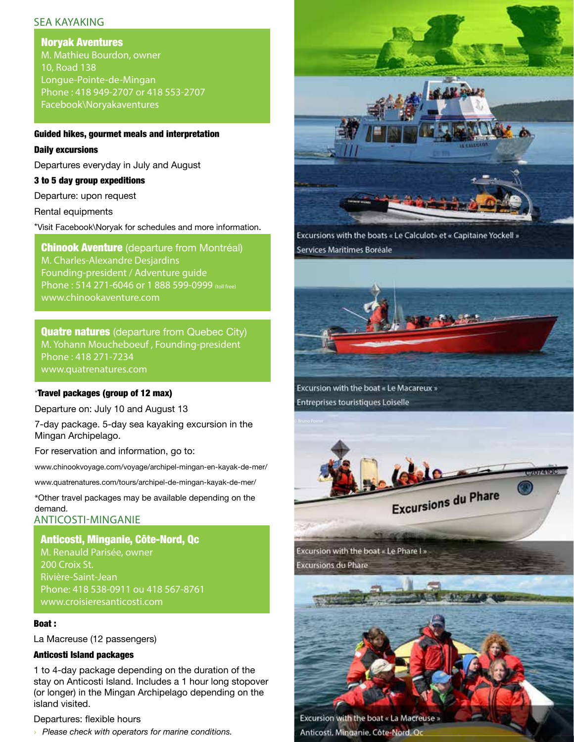#### sea kayaking

Noryak Aventures M. Mathieu Bourdon, owner 10, Road 138 Longue-Pointe-de-Mingan Phone : 418 949-2707 or 418 553-2707 Facebook\Noryakaventures

#### Guided hikes, gourmet meals and interpretation

#### Daily excursions

Departures everyday in July and August

#### 3 to 5 day group expeditions

Departure: upon request

Rental equipments

\*Visit Facebook\Noryak for schedules and more information.

**Chinook Aventure** (departure from Montréal) M. Charles-Alexandre Desjardins Founding-president / Adventure guide Phone: 514 271-6046 or 1 888 599-0999 (toll free) www.chinookaventure.com

**Quatre natures** (departure from Quebec City) M. Yohann Moucheboeuf , Founding-president Phone : 418 271-7234 www.quatrenatures.com

#### \*Travel packages (group of 12 max)

Departure on: July 10 and August 13

7-day package. 5-day sea kayaking excursion in the Mingan Archipelago.

For reservation and information, go to:

www.chinookvoyage.com/voyage/archipel-mingan-en-kayak-de-mer/

www.quatrenatures.com/tours/archipel-de-mingan-kayak-de-mer/

\*Other travel packages may be available depending on the demand.

#### Anticosti-Minganie

Anticosti, Minganie, Côte-Nord, Qc M. Renauld Parisée, owner 200 Croix St. Rivière-Saint-Jean Phone: 418 538-0911 ou 418 567-8761 www.croisieresanticosti.com

#### Boat :

La Macreuse (12 passengers)

#### Anticosti Island packages

1 to 4-day package depending on the duration of the stay on Anticosti Island. Includes a 1 hour long stopover (or longer) in the Mingan Archipelago depending on the island visited.

#### Departures: flexible hours

› *Please check with operators for marine conditions.*



Excursions with the boats « Le Calculot» et « Capitaine Yockell » Services Maritimes Boréale



Excursion with the boat « Le Macareux » Entreprises touristiques Loiselle



Excursion with the boat « Le Phare I » **Excursions du Phare** 

Excursion with the boat « La Macreuse » Anticosti, Minganie, Côte-Nord, Oc